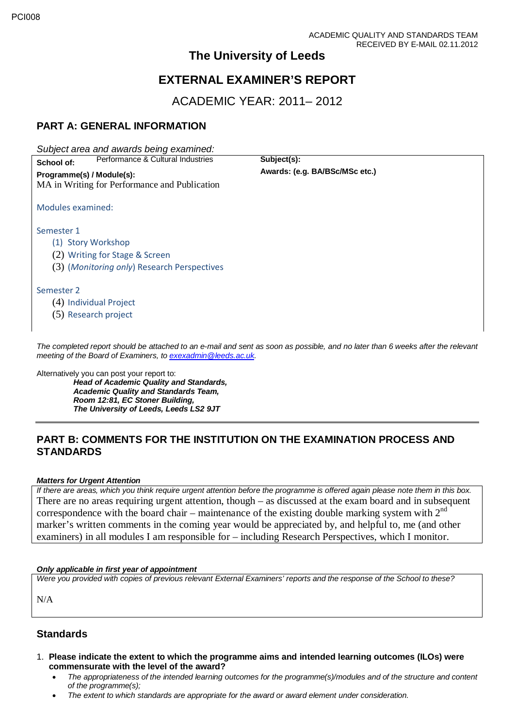## **The University of Leeds**

# **EXTERNAL EXAMINER'S REPORT**

ACADEMIC YEAR: 2011– 2012

## **PART A: GENERAL INFORMATION**

*Subject area and awards being examined:*

**School of:** Performance & Cultural Industries **Subject(s): Subject(s): Awards: (e.g. BA/BSc/MSc etc.)**  $Programme(s) / Module(s):$ MA in Writing for Performance and Publication

Modules examined:

Semester 1

- (1) Story Workshop
- (2) Writing for Stage & Screen
- (3) (*Monitoring only*) Research Perspectives

Semester 2

(4) Individual Project

(5) Research project

*The completed report should be attached to an e-mail and sent as soon as possible, and no later than 6 weeks after the relevant meeting of the Board of Examiners, to [exexadmin@leeds.ac.uk.](mailto:exexadmin@leeds.ac.uk)*

Alternatively you can post your report to:

*Head of Academic Quality and Standards, Academic Quality and Standards Team, Room 12:81, EC Stoner Building, The University of Leeds, Leeds LS2 9JT*

## **PART B: COMMENTS FOR THE INSTITUTION ON THE EXAMINATION PROCESS AND STANDARDS**

### *Matters for Urgent Attention*

*If there are areas, which you think require urgent attention before the programme is offered again please note them in this box.* There are no areas requiring urgent attention, though – as discussed at the exam board and in subsequent correspondence with the board chair – maintenance of the existing double marking system with  $2<sup>nd</sup>$ marker's written comments in the coming year would be appreciated by, and helpful to, me (and other examiners) in all modules I am responsible for – including Research Perspectives, which I monitor.

### *Only applicable in first year of appointment*

*Were you provided with copies of previous relevant External Examiners' reports and the response of the School to these?* 

N/A

## **Standards**

- 1. **Please indicate the extent to which the programme aims and intended learning outcomes (ILOs) were commensurate with the level of the award?**
	- *The appropriateness of the intended learning outcomes for the programme(s)/modules and of the structure and content of the programme(s);*
	- *The extent to which standards are appropriate for the award or award element under consideration.*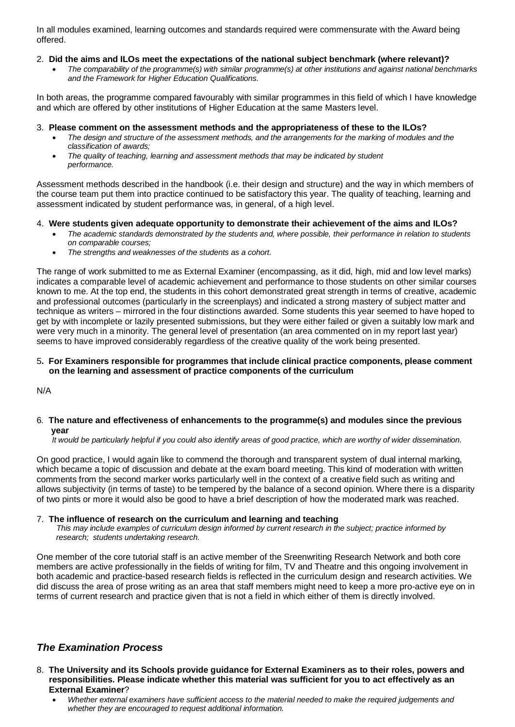In all modules examined, learning outcomes and standards required were commensurate with the Award being offered.

#### 2. **Did the aims and ILOs meet the expectations of the national subject benchmark (where relevant)?**

• *The comparability of the programme(s) with similar programme(s) at other institutions and against national benchmarks and the Framework for Higher Education Qualifications.*

In both areas, the programme compared favourably with similar programmes in this field of which I have knowledge and which are offered by other institutions of Higher Education at the same Masters level.

3. **Please comment on the assessment methods and the appropriateness of these to the ILOs?**

- *The design and structure of the assessment methods, and the arrangements for the marking of modules and the classification of awards;*
- *The quality of teaching, learning and assessment methods that may be indicated by student performance.*

Assessment methods described in the handbook (i.e. their design and structure) and the way in which members of the course team put them into practice continued to be satisfactory this year. The quality of teaching, learning and assessment indicated by student performance was, in general, of a high level.

#### 4. **Were students given adequate opportunity to demonstrate their achievement of the aims and ILOs?**

- *The academic standards demonstrated by the students and, where possible, their performance in relation to students on comparable courses;*
- *The strengths and weaknesses of the students as a cohort.*

The range of work submitted to me as External Examiner (encompassing, as it did, high, mid and low level marks) indicates a comparable level of academic achievement and performance to those students on other similar courses known to me. At the top end, the students in this cohort demonstrated great strength in terms of creative, academic and professional outcomes (particularly in the screenplays) and indicated a strong mastery of subject matter and technique as writers – mirrored in the four distinctions awarded. Some students this year seemed to have hoped to get by with incomplete or lazily presented submissions, but they were either failed or given a suitably low mark and were very much in a minority. The general level of presentation (an area commented on in my report last year) seems to have improved considerably regardless of the creative quality of the work being presented.

#### 5**. For Examiners responsible for programmes that include clinical practice components, please comment on the learning and assessment of practice components of the curriculum**

N/A

#### 6*.* **The nature and effectiveness of enhancements to the programme(s) and modules since the previous year**

 *It would be particularly helpful if you could also identify areas of good practice, which are worthy of wider dissemination.* 

On good practice, I would again like to commend the thorough and transparent system of dual internal marking, which became a topic of discussion and debate at the exam board meeting. This kind of moderation with written comments from the second marker works particularly well in the context of a creative field such as writing and allows subjectivity (in terms of taste) to be tempered by the balance of a second opinion. Where there is a disparity of two pints or more it would also be good to have a brief description of how the moderated mark was reached.

#### 7.**The influence of research on the curriculum and learning and teaching**

 *This may include examples of curriculum design informed by current research in the subject; practice informed by research; students undertaking research.* 

One member of the core tutorial staff is an active member of the Sreenwriting Research Network and both core members are active professionally in the fields of writing for film, TV and Theatre and this ongoing involvement in both academic and practice-based research fields is reflected in the curriculum design and research activities. We did discuss the area of prose writing as an area that staff members might need to keep a more pro-active eye on in terms of current research and practice given that is not a field in which either of them is directly involved.

## *The Examination Process*

- 8. **The University and its Schools provide guidance for External Examiners as to their roles, powers and responsibilities. Please indicate whether this material was sufficient for you to act effectively as an External Examiner**?
	- *Whether external examiners have sufficient access to the material needed to make the required judgements and whether they are encouraged to request additional information.*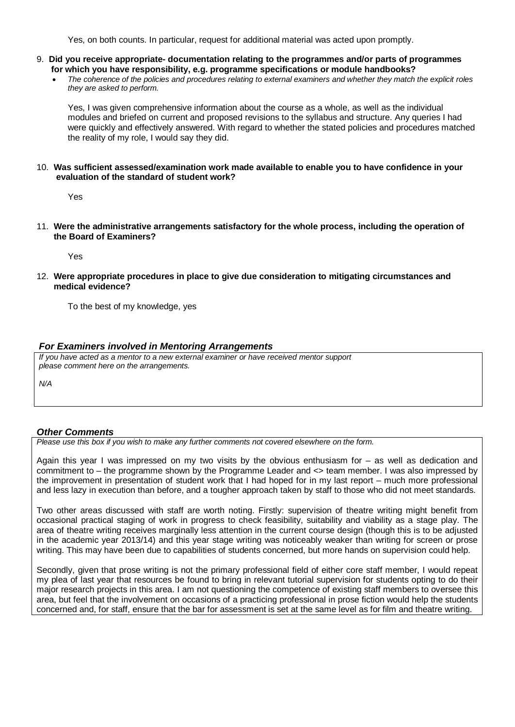Yes, on both counts. In particular, request for additional material was acted upon promptly.

- 9. **Did you receive appropriate- documentation relating to the programmes and/or parts of programmes for which you have responsibility, e.g. programme specifications or module handbooks?**
	- *The coherence of the policies and procedures relating to external examiners and whether they match the explicit roles they are asked to perform.*

Yes, I was given comprehensive information about the course as a whole, as well as the individual modules and briefed on current and proposed revisions to the syllabus and structure. Any queries I had were quickly and effectively answered. With regard to whether the stated policies and procedures matched the reality of my role, I would say they did.

#### 10. **Was sufficient assessed/examination work made available to enable you to have confidence in your evaluation of the standard of student work?**

Yes

11. **Were the administrative arrangements satisfactory for the whole process, including the operation of the Board of Examiners?**

Yes

12. **Were appropriate procedures in place to give due consideration to mitigating circumstances and medical evidence?**

To the best of my knowledge, yes

#### *For Examiners involved in Mentoring Arrangements*

*If you have acted as a mentor to a new external examiner or have received mentor support please comment here on the arrangements.*

*N/A*

#### *Other Comments*

*Please use this box if you wish to make any further comments not covered elsewhere on the form.*

Again this year I was impressed on my two visits by the obvious enthusiasm for – as well as dedication and commitment to – the programme shown by the Programme Leader and <> team member. I was also impressed by the improvement in presentation of student work that I had hoped for in my last report – much more professional and less lazy in execution than before, and a tougher approach taken by staff to those who did not meet standards.

Two other areas discussed with staff are worth noting. Firstly: supervision of theatre writing might benefit from occasional practical staging of work in progress to check feasibility, suitability and viability as a stage play. The area of theatre writing receives marginally less attention in the current course design (though this is to be adjusted in the academic year 2013/14) and this year stage writing was noticeably weaker than writing for screen or prose writing. This may have been due to capabilities of students concerned, but more hands on supervision could help.

Secondly, given that prose writing is not the primary professional field of either core staff member, I would repeat my plea of last year that resources be found to bring in relevant tutorial supervision for students opting to do their major research projects in this area. I am not questioning the competence of existing staff members to oversee this area, but feel that the involvement on occasions of a practicing professional in prose fiction would help the students concerned and, for staff, ensure that the bar for assessment is set at the same level as for film and theatre writing.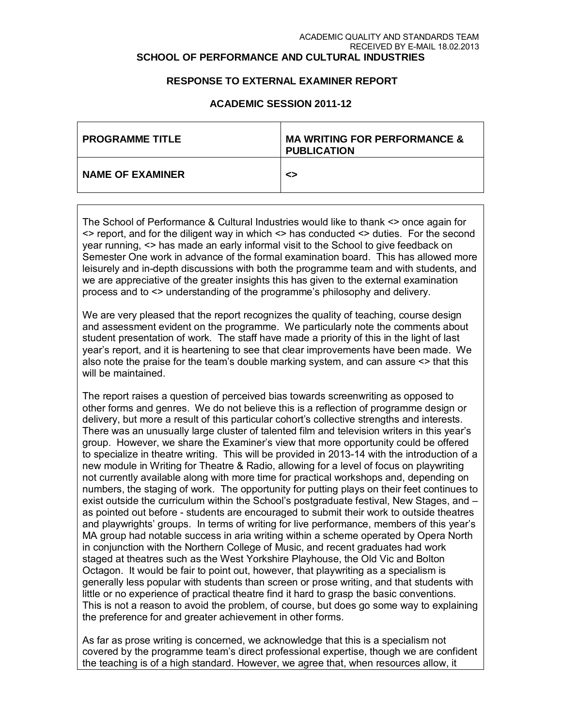#### ACADEMIC QUALITY AND STANDARDS TEAM RECEIVED BY E-MAIL 18.02.2013 **SCHOOL OF PERFORMANCE AND CULTURAL INDUSTRIES**

### **RESPONSE TO EXTERNAL EXAMINER REPORT**

| <b>PROGRAMME TITLE</b>  | <b>MA WRITING FOR PERFORMANCE &amp;</b><br><b>PUBLICATION</b> |
|-------------------------|---------------------------------------------------------------|
| <b>NAME OF EXAMINER</b> | ◇                                                             |

### **ACADEMIC SESSION 2011-12**

The School of Performance & Cultural Industries would like to thank <> once again for <> report, and for the diligent way in which <> has conducted <> duties. For the second year running, <> has made an early informal visit to the School to give feedback on Semester One work in advance of the formal examination board. This has allowed more leisurely and in-depth discussions with both the programme team and with students, and we are appreciative of the greater insights this has given to the external examination process and to <> understanding of the programme's philosophy and delivery.

We are very pleased that the report recognizes the quality of teaching, course design and assessment evident on the programme. We particularly note the comments about student presentation of work. The staff have made a priority of this in the light of last year's report, and it is heartening to see that clear improvements have been made. We also note the praise for the team's double marking system, and can assure <> that this will be maintained.

The report raises a question of perceived bias towards screenwriting as opposed to other forms and genres. We do not believe this is a reflection of programme design or delivery, but more a result of this particular cohort's collective strengths and interests. There was an unusually large cluster of talented film and television writers in this year's group. However, we share the Examiner's view that more opportunity could be offered to specialize in theatre writing. This will be provided in 2013-14 with the introduction of a new module in Writing for Theatre & Radio, allowing for a level of focus on playwriting not currently available along with more time for practical workshops and, depending on numbers, the staging of work. The opportunity for putting plays on their feet continues to exist outside the curriculum within the School's postgraduate festival, New Stages, and – as pointed out before - students are encouraged to submit their work to outside theatres and playwrights' groups. In terms of writing for live performance, members of this year's MA group had notable success in aria writing within a scheme operated by Opera North in conjunction with the Northern College of Music, and recent graduates had work staged at theatres such as the West Yorkshire Playhouse, the Old Vic and Bolton Octagon. It would be fair to point out, however, that playwriting as a specialism is generally less popular with students than screen or prose writing, and that students with little or no experience of practical theatre find it hard to grasp the basic conventions. This is not a reason to avoid the problem, of course, but does go some way to explaining the preference for and greater achievement in other forms.

As far as prose writing is concerned, we acknowledge that this is a specialism not covered by the programme team's direct professional expertise, though we are confident the teaching is of a high standard. However, we agree that, when resources allow, it